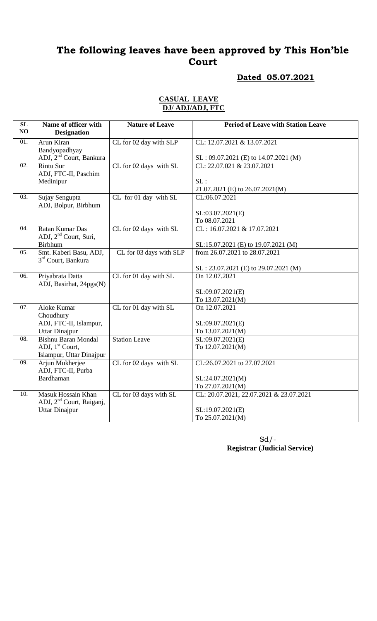## **Dated 05.07.2021**

### **CASUAL LEAVE DJ/ ADJ/ADJ, FTC**

| SL<br>NO          | Name of officer with<br><b>Designation</b> | <b>Nature of Leave</b>  | <b>Period of Leave with Station Leave</b> |
|-------------------|--------------------------------------------|-------------------------|-------------------------------------------|
| $\overline{01}$ . | Arun Kiran                                 | CL for 02 day with SLP  | CL: 12.07.2021 & 13.07.2021               |
|                   | Bandyopadhyay                              |                         |                                           |
|                   | ADJ, 2 <sup>nd</sup> Court, Bankura        |                         | SL: 09.07.2021 (E) to 14.07.2021 (M)      |
| 02.               | <b>Rintu Sur</b>                           | CL for 02 days with SL  | CL: 22.07.021 & 23.07.2021                |
|                   | ADJ, FTC-II, Paschim                       |                         |                                           |
|                   | Medinipur                                  |                         | SL:                                       |
|                   |                                            |                         | 21.07.2021 (E) to 26.07.2021(M)           |
| 03.               | Sujay Sengupta                             | CL for 01 day with SL   | CL:06.07.2021                             |
|                   | ADJ, Bolpur, Birbhum                       |                         |                                           |
|                   |                                            |                         | SL:03.07.2021(E)                          |
|                   |                                            |                         | To 08.07.2021                             |
| 04.               | Ratan Kumar Das                            | CL for 02 days with SL  | CL: 16.07.2021 & 17.07.2021               |
|                   | ADJ, 2 <sup>nd</sup> Court, Suri,          |                         |                                           |
|                   | <b>Birbhum</b>                             |                         | SL:15.07.2021 (E) to 19.07.2021 (M)       |
| 05.               | Smt. Kaberi Basu, ADJ,                     | CL for 03 days with SLP | from 26.07.2021 to 28.07.2021             |
|                   | 3 <sup>rd</sup> Court, Bankura             |                         |                                           |
|                   |                                            |                         | $SL: 23.07.2021$ (E) to 29.07.2021 (M)    |
| 06.               | Priyabrata Datta                           | CL for 01 day with SL   | On 12.07.2021                             |
|                   | ADJ, Basirhat, 24pgs(N)                    |                         |                                           |
|                   |                                            |                         | SL:09.07.2021(E)                          |
|                   |                                            |                         | To 13.07.2021(M)                          |
| 07.               | Aloke Kumar                                | CL for 01 day with SL   | On 12.07.2021                             |
|                   | Choudhury                                  |                         |                                           |
|                   | ADJ, FTC-II, Islampur,                     |                         | SL:09.07.2021(E)                          |
|                   | <b>Uttar Dinajpur</b>                      |                         | To 13.07.2021(M)                          |
| 08.               | <b>Bishnu Baran Mondal</b>                 | <b>Station Leave</b>    | SL:09.07.2021(E)                          |
|                   | ADJ, 1 <sup>st</sup> Court,                |                         | To 12.07.2021(M)                          |
|                   | Islampur, Uttar Dinajpur                   |                         |                                           |
| 09.               | Arjun Mukherjee                            | CL for 02 days with SL  | CL:26.07.2021 to 27.07.2021               |
|                   | ADJ, FTC-II, Purba                         |                         |                                           |
|                   | Bardhaman                                  |                         | SL:24.07.2021(M)                          |
|                   |                                            |                         | To 27.07.2021(M)                          |
| 10.               | Masuk Hossain Khan                         | CL for 03 days with SL  | CL: 20.07.2021, 22.07.2021 & 23.07.2021   |
|                   | ADJ, 2 <sup>nd</sup> Court, Raiganj,       |                         |                                           |
|                   | <b>Uttar Dinajpur</b>                      |                         | SL:19.07.2021(E)                          |
|                   |                                            |                         | To 25.07.2021(M)                          |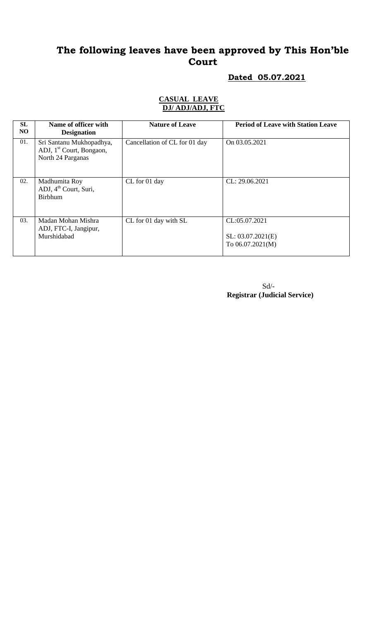## **Dated 05.07.2021**

### **CASUAL LEAVE DJ/ ADJ/ADJ, FTC**

| <b>SL</b><br>NO | Name of officer with<br><b>Designation</b>                                            | <b>Nature of Leave</b>        | <b>Period of Leave with Station Leave</b>                |
|-----------------|---------------------------------------------------------------------------------------|-------------------------------|----------------------------------------------------------|
| 01.             | Sri Santanu Mukhopadhya,<br>ADJ, 1 <sup>st</sup> Court, Bongaon,<br>North 24 Parganas | Cancellation of CL for 01 day | On 03.05.2021                                            |
| 02.             | Madhumita Roy<br>ADJ, 4 <sup>th</sup> Court, Suri,<br><b>Birbhum</b>                  | CL for 01 day                 | CL: 29.06.2021                                           |
| 03.             | Madan Mohan Mishra<br>ADJ, FTC-I, Jangipur,<br>Murshidabad                            | CL for 01 day with SL         | CL:05.07.2021<br>SL: 03.07.2021(E)<br>To $06.07.2021(M)$ |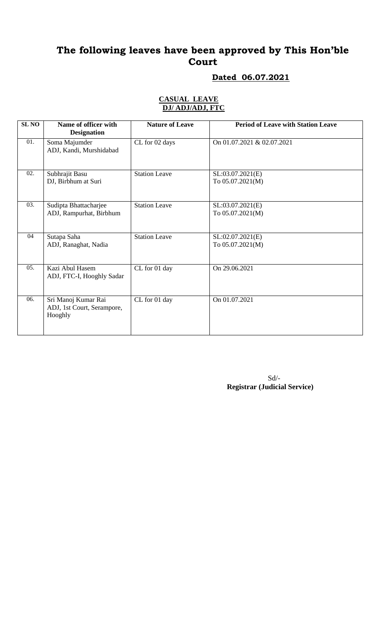## **Dated 06.07.2021**

### **CASUAL LEAVE DJ/ ADJ/ADJ, FTC**

| <b>SL NO</b>     | Name of officer with<br><b>Designation</b>                   | <b>Nature of Leave</b> | <b>Period of Leave with Station Leave</b> |
|------------------|--------------------------------------------------------------|------------------------|-------------------------------------------|
| 01.              | Soma Majumder<br>ADJ, Kandi, Murshidabad                     | CL for 02 days         | On 01.07.2021 & 02.07.2021                |
| 02.              | Subhrajit Basu<br>DJ, Birbhum at Suri                        | <b>Station Leave</b>   | SL:03.07.2021(E)<br>To 05.07.2021(M)      |
| 03.              | Sudipta Bhattacharjee<br>ADJ, Rampurhat, Birbhum             | <b>Station Leave</b>   | SL:03.07.2021(E)<br>To 05.07.2021(M)      |
| 04               | Sutapa Saha<br>ADJ, Ranaghat, Nadia                          | <b>Station Leave</b>   | SL:02.07.2021(E)<br>To 05.07.2021(M)      |
| 0.5 <sub>1</sub> | Kazi Abul Hasem<br>ADJ, FTC-I, Hooghly Sadar                 | CL for 01 day          | On 29.06.2021                             |
| 06.              | Sri Manoj Kumar Rai<br>ADJ, 1st Court, Serampore,<br>Hooghly | CL for 01 day          | On 01.07.2021                             |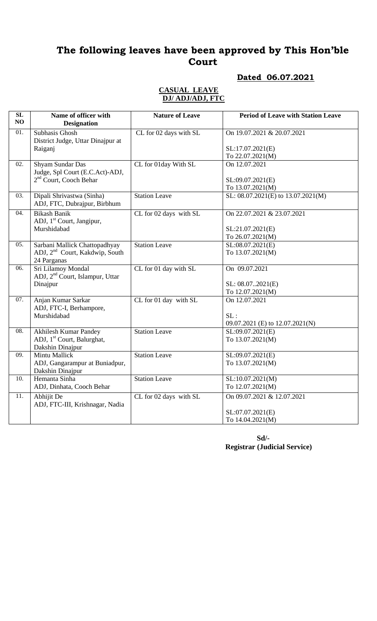### **Dated 06.07.2021**

#### **CASUAL LEAVE DJ/ ADJ/ADJ, FTC**

| SL<br>NO          | Name of officer with<br><b>Designation</b>          | <b>Nature of Leave</b> | <b>Period of Leave with Station Leave</b> |
|-------------------|-----------------------------------------------------|------------------------|-------------------------------------------|
| $\overline{01}$ . | Subhasis Ghosh                                      | CL for 02 days with SL | On 19.07.2021 & 20.07.2021                |
|                   | District Judge, Uttar Dinajpur at                   |                        |                                           |
|                   | Raiganj                                             |                        | SL:17.07.2021(E)                          |
| $\overline{02}$ . |                                                     |                        | To 22.07.2021(M)                          |
|                   | Shyam Sundar Das<br>Judge, Spl Court (E.C.Act)-ADJ, | CL for 01day With SL   | On 12.07.2021                             |
|                   | 2 <sup>nd</sup> Court, Cooch Behar                  |                        | SL:09.07.2021(E)                          |
|                   |                                                     |                        | To 13.07.2021(M)                          |
| 03.               | Dipali Shrivastwa (Sinha)                           | <b>Station Leave</b>   | SL: 08.07.2021(E) to 13.07.2021(M)        |
|                   | ADJ, FTC, Dubrajpur, Birbhum                        |                        |                                           |
| $\overline{04}$ . | <b>Bikash Banik</b>                                 | CL for 02 days with SL | On 22.07.2021 & 23.07.2021                |
|                   | ADJ, 1 <sup>st</sup> Court, Jangipur,               |                        |                                           |
|                   | Murshidabad                                         |                        | SL:21.07.2021(E)                          |
|                   |                                                     |                        | To 26.07.2021(M)                          |
| 05.               | Sarbani Mallick Chattopadhyay                       | <b>Station Leave</b>   | SL:08.07.2021(E)                          |
|                   | ADJ, 2 <sup>nd</sup> Court, Kakdwip, South          |                        | To 13.07.2021(M)                          |
| 06.               | 24 Parganas<br>Sri Lilamoy Mondal                   | CL for 01 day with SL  | On 09.07.2021                             |
|                   | ADJ, 2 <sup>nd</sup> Court, Islampur, Uttar         |                        |                                           |
|                   | Dinajpur                                            |                        | SL: 08.072021(E)                          |
|                   |                                                     |                        | To 12.07.2021(M)                          |
| 07.               | Anjan Kumar Sarkar                                  | CL for 01 day with SL  | On 12.07.2021                             |
|                   | ADJ, FTC-I, Berhampore,                             |                        |                                           |
|                   | Murshidabad                                         |                        | SL:                                       |
|                   |                                                     |                        | 09.07.2021 (E) to 12.07.2021(N)           |
| 08.               | <b>Akhilesh Kumar Pandey</b>                        | <b>Station Leave</b>   | SL:09.07.2021(E)                          |
|                   | ADJ, 1 <sup>st</sup> Court, Balurghat,              |                        | To 13.07.2021(M)                          |
| 09.               | Dakshin Dinajpur<br><b>Mintu Mallick</b>            | <b>Station Leave</b>   | SL:09.07.2021(E)                          |
|                   | ADJ, Gangarampur at Buniadpur,                      |                        | To 13.07.2021(M)                          |
|                   | Dakshin Dinajpur                                    |                        |                                           |
| 10.               | Hemanta Sinha                                       | <b>Station Leave</b>   | SL:10.07.2021(M)                          |
|                   | ADJ, Dinhata, Cooch Behar                           |                        | To 12.07.2021(M)                          |
| 11.               | Abhijit De                                          | CL for 02 days with SL | On 09.07.2021 & 12.07.2021                |
|                   | ADJ, FTC-III, Krishnagar, Nadia                     |                        |                                           |
|                   |                                                     |                        | SL:07.07.2021(E)                          |
|                   |                                                     |                        | To 14.04.2021(M)                          |

**Sd/- Registrar (Judicial Service)**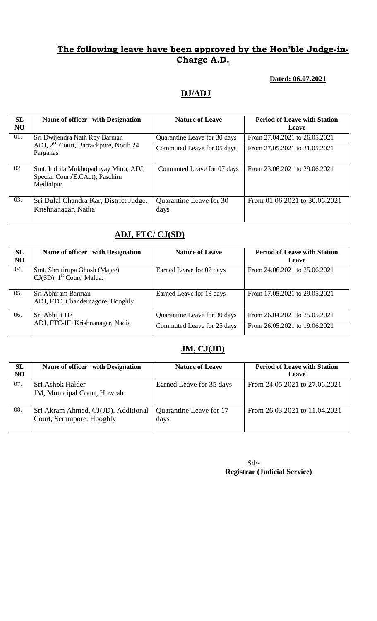## **The following leave have been approved by the Hon'ble Judge-in-Charge A.D.**

### **Dated: 06.07.2021**

## **DJ/ADJ**

| <b>SL</b><br><b>NO</b> | Name of officer with Designation                                                     | <b>Nature of Leave</b>          | <b>Period of Leave with Station</b><br>Leave |
|------------------------|--------------------------------------------------------------------------------------|---------------------------------|----------------------------------------------|
| 01.                    | Sri Dwijendra Nath Roy Barman                                                        | Quarantine Leave for 30 days    | From 27.04.2021 to 26.05.2021                |
|                        | ADJ, 2 <sup>nd</sup> Court, Barrackpore, North 24<br>Parganas                        | Commuted Leave for 05 days      | From 27.05.2021 to 31.05.2021                |
| 02.                    | Smt. Indrila Mukhopadhyay Mitra, ADJ,<br>Special Court(E.CAct), Paschim<br>Medinipur | Commuted Leave for 07 days      | From 23.06.2021 to 29.06.2021                |
| 03.                    | Sri Dulal Chandra Kar, District Judge,<br>Krishnanagar, Nadia                        | Quarantine Leave for 30<br>days | From 01.06.2021 to 30.06.2021                |

## **ADJ, FTC/ CJ(SD)**

| SL<br>NO | Name of officer with Designation                                       | <b>Nature of Leave</b>       | <b>Period of Leave with Station</b><br><b>Leave</b> |
|----------|------------------------------------------------------------------------|------------------------------|-----------------------------------------------------|
| 04.      | Smt. Shrutirupa Ghosh (Majee)<br>CJ(SD), 1 <sup>st</sup> Court, Malda. | Earned Leave for 02 days     | From 24.06.2021 to 25.06.2021                       |
| 05.      | Sri Abhiram Barman<br>ADJ, FTC, Chandernagore, Hooghly                 | Earned Leave for 13 days     | From 17.05.2021 to 29.05.2021                       |
| 06.      | Sri Abhijit De                                                         | Quarantine Leave for 30 days | From 26.04.2021 to 25.05.2021                       |
|          | ADJ, FTC-III, Krishnanagar, Nadia                                      | Commuted Leave for 25 days   | From 26.05.2021 to 19.06.2021                       |

# **JM, CJ(JD)**

| SL<br>NO | Name of officer with Designation                                 | <b>Nature of Leave</b>          | <b>Period of Leave with Station</b><br>Leave |
|----------|------------------------------------------------------------------|---------------------------------|----------------------------------------------|
| 07.      | Sri Ashok Halder<br>JM, Municipal Court, Howrah                  | Earned Leave for 35 days        | From 24.05.2021 to 27.06.2021                |
| 08.      | Sri Akram Ahmed, CJ(JD), Additional<br>Court, Serampore, Hooghly | Quarantine Leave for 17<br>days | From 26.03.2021 to 11.04.2021                |